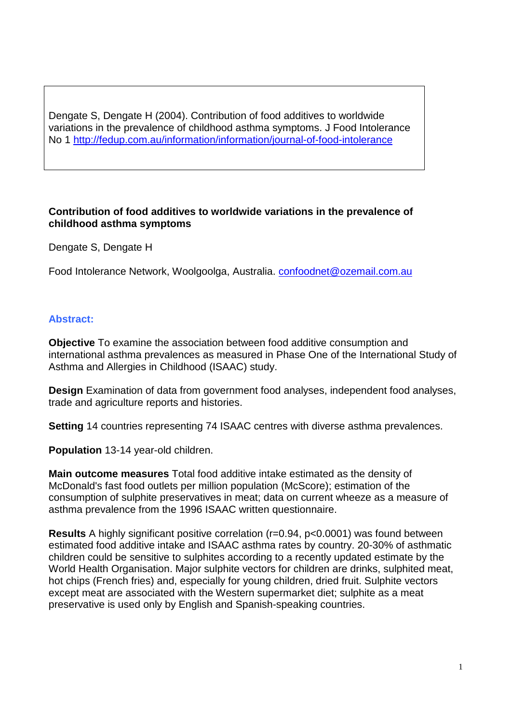Dengate S, Dengate H (2004). Contribution of food additives to worldwide variations in the prevalence of childhood asthma symptoms. J Food Intolerance No 1 <http://fedup.com.au/information/information/journal-of-food-intolerance>

#### **Contribution of food additives to worldwide variations in the prevalence of childhood asthma symptoms**

Dengate S, Dengate H

Food Intolerance Network, Woolgoolga, Australia. [confoodnet@ozemail.com.au](mailto:confoodnet@ozemail.com.au)

#### **Abstract:**

**Objective** To examine the association between food additive consumption and international asthma prevalences as measured in Phase One of the International Study of Asthma and Allergies in Childhood (ISAAC) study.

**Design** Examination of data from government food analyses, independent food analyses, trade and agriculture reports and histories.

**Setting** 14 countries representing 74 ISAAC centres with diverse asthma prevalences.

**Population** 13-14 year-old children.

**Main outcome measures** Total food additive intake estimated as the density of McDonald's fast food outlets per million population (McScore); estimation of the consumption of sulphite preservatives in meat; data on current wheeze as a measure of asthma prevalence from the 1996 ISAAC written questionnaire.

**Results** A highly significant positive correlation (r=0.94, p<0.0001) was found between estimated food additive intake and ISAAC asthma rates by country. 20-30% of asthmatic children could be sensitive to sulphites according to a recently updated estimate by the World Health Organisation. Major sulphite vectors for children are drinks, sulphited meat, hot chips (French fries) and, especially for young children, dried fruit. Sulphite vectors except meat are associated with the Western supermarket diet; sulphite as a meat preservative is used only by English and Spanish-speaking countries.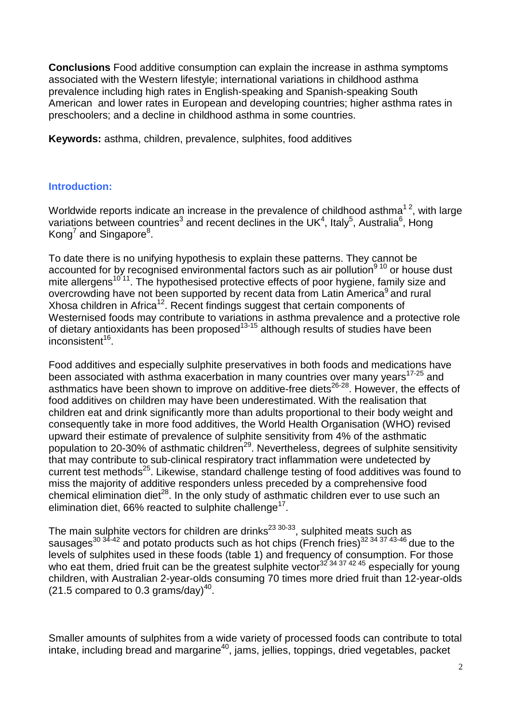**Conclusions** Food additive consumption can explain the increase in asthma symptoms associated with the Western lifestyle; international variations in childhood asthma prevalence including high rates in English-speaking and Spanish-speaking South American and lower rates in European and developing countries; higher asthma rates in preschoolers; and a decline in childhood asthma in some countries.

**Keywords:** asthma, children, prevalence, sulphites, food additives

#### **Introduction:**

Worldwide reports indicate an increase in the prevalence of childhood asthma<sup>12</sup>, with large variations between countries<sup>3</sup> and recent declines in the UK<sup>4</sup>, Italy<sup>5</sup>, Australia<sup>6</sup>, Hong Kong<sup>7</sup> and Singapore<sup>8</sup>.

To date there is no unifying hypothesis to explain these patterns. They cannot be accounted for by recognised environmental factors such as air pollution<sup>9 10</sup> or house dust mite allergens<sup>10'11</sup>. The hypothesised protective effects of poor hygiene, family size and overcrowding have not been supported by recent data from Latin America<sup>9</sup> and rural Xhosa children in Africa<sup>12</sup>. Recent findings suggest that certain components of Westernised foods may contribute to variations in asthma prevalence and a protective role of dietary antioxidants has been proposed<sup>13-15</sup> although results of studies have been  $inconsistent<sup>16</sup>$ .

Food additives and especially sulphite preservatives in both foods and medications have been associated with asthma exacerbation in many countries over many years<sup>17-25</sup> and asthmatics have been shown to improve on additive-free diets<sup>26-28</sup>. However, the effects of food additives on children may have been underestimated. With the realisation that children eat and drink significantly more than adults proportional to their body weight and consequently take in more food additives, the World Health Organisation (WHO) revised upward their estimate of prevalence of sulphite sensitivity from 4% of the asthmatic population to 20-30% of asthmatic children<sup>29</sup>. Nevertheless, degrees of sulphite sensitivity that may contribute to sub-clinical respiratory tract inflammation were undetected by current test methods<sup>25</sup>. Likewise, standard challenge testing of food additives was found to miss the majority of additive responders unless preceded by a comprehensive food chemical elimination diet<sup>28</sup>. In the only study of asthmatic children ever to use such an elimination diet, 66% reacted to sulphite challenge<sup>17</sup>.

The main sulphite vectors for children are drinks<sup>23 30-33</sup>, sulphited meats such as sausages<sup>30 34-42</sup> and potato products such as hot chips (French fries)<sup>32 34 37 43-46</sup> due to the levels of sulphites used in these foods (table 1) and frequency of consumption. For those who eat them, dried fruit can be the greatest sulphite vector<sup>32'34 37</sup> 42 45 especially for young children, with Australian 2-year-olds consuming 70 times more dried fruit than 12-year-olds (21.5 compared to 0.3 grams/dav) $^{40}$ .

Smaller amounts of sulphites from a wide variety of processed foods can contribute to total intake, including bread and margarine<sup>40</sup>, jams, jellies, toppings, dried vegetables, packet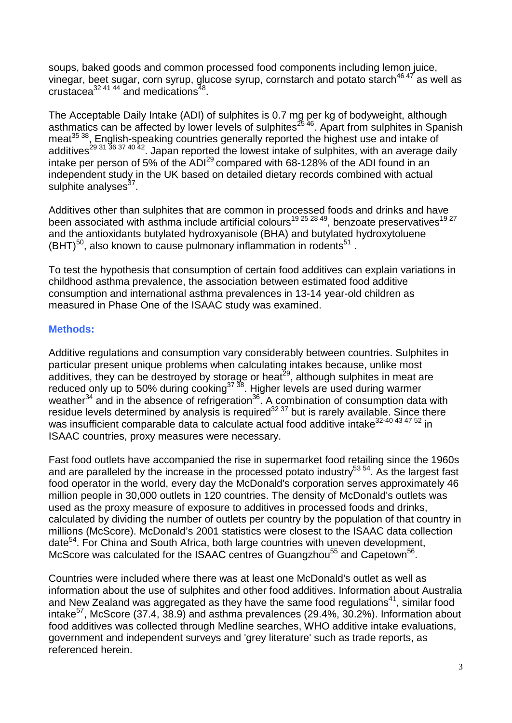soups, baked goods and common processed food components including lemon juice, vinegar, beet sugar, corn syrup, glucose syrup, cornstarch and potato starch<sup>46 47</sup> as well as crustacea<sup>32 41 44</sup> and medications<sup>48</sup>.

The Acceptable Daily Intake (ADI) of sulphites is 0.7 mg per kg of bodyweight, although asthmatics can be affected by lower levels of sulphites<sup>25 46</sup>. Apart from sulphites in Spanish meat<sup>35 38</sup>, English-speaking countries generally reported the highest use and intake of additives<sup>29 31 36 37 40 42</sup>. Japan reported the lowest intake of sulphites, with an average daily intake per person of 5% of the  $ADI<sup>29</sup>$  compared with 68-128% of the ADI found in an independent study in the UK based on detailed dietary records combined with actual sulphite analyses $37$ .

Additives other than sulphites that are common in processed foods and drinks and have been associated with asthma include artificial colours<sup>19 25 28 49</sup>, benzoate preservatives<sup>19 27</sup> and the antioxidants butylated hydroxyanisole (BHA) and butylated hydroxytoluene  $(BHT)^{50}$ , also known to cause pulmonary inflammation in rodents<sup>51</sup>.

To test the hypothesis that consumption of certain food additives can explain variations in childhood asthma prevalence, the association between estimated food additive consumption and international asthma prevalences in 13-14 year-old children as measured in Phase One of the ISAAC study was examined.

# **Methods:**

Additive regulations and consumption vary considerably between countries. Sulphites in particular present unique problems when calculating intakes because, unlike most additives, they can be destroyed by storage or heat<sup>29</sup>, although sulphites in meat are reduced only up to 50% during cooking<sup>37 38</sup>. Higher levels are used during warmer weather $34$  and in the absence of refrigeration $36$ . A combination of consumption data with residue levels determined by analysis is required $32\overline{37}$  but is rarely available. Since there was insufficient comparable data to calculate actual food additive intake<sup>32-40 43 47 52</sup> in ISAAC countries, proxy measures were necessary.

Fast food outlets have accompanied the rise in supermarket food retailing since the 1960s and are paralleled by the increase in the processed potato industry<sup>53 54</sup>. As the largest fast food operator in the world, every day the McDonald's corporation serves approximately 46 million people in 30,000 outlets in 120 countries. The density of McDonald's outlets was used as the proxy measure of exposure to additives in processed foods and drinks, calculated by dividing the number of outlets per country by the population of that country in millions (McScore). McDonald's 2001 statistics were closest to the ISAAC data collection date<sup>54</sup>. For China and South Africa, both large countries with uneven development, McScore was calculated for the ISAAC centres of Guangzhou<sup>55</sup> and Capetown<sup>56</sup>.

Countries were included where there was at least one McDonald's outlet as well as information about the use of sulphites and other food additives. Information about Australia and New Zealand was aggregated as they have the same food regulations<sup>41</sup>, similar food intake $57$ , McScore (37.4, 38.9) and asthma prevalences (29.4%, 30.2%). Information about food additives was collected through Medline searches, WHO additive intake evaluations, government and independent surveys and 'grey literature' such as trade reports, as referenced herein.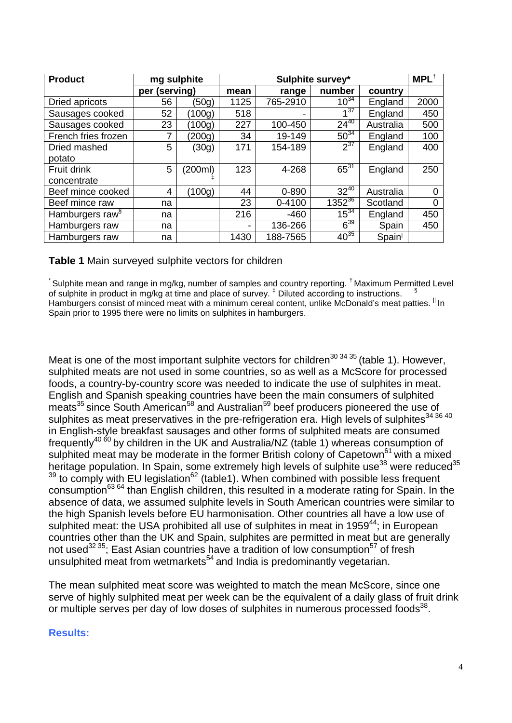| <b>Product</b>              | mg sulphite   |         |                | MPL <sup>†</sup> |                 |                    |          |
|-----------------------------|---------------|---------|----------------|------------------|-----------------|--------------------|----------|
|                             | per (serving) |         | mean           | range            | number          | country            |          |
| Dried apricots              | 56            | (50g)   | 1125           | 765-2910         | $10^{34}$       | England            | 2000     |
| Sausages cooked             | 52            | (100g)  | 518            |                  | 4 <sup>37</sup> | England            | 450      |
| Sausages cooked             | 23            | (100g)  | 227            | 100-450          | $24^{40}$       | Australia          | 500      |
| French fries frozen         |               | (200q)  | 34             | 19-149           | $50^{34}$       | England            | 100      |
| Dried mashed                | 5             | (30g)   | 171            | 154-189          | $2^{37}$        | England            | 400      |
| potato                      |               |         |                |                  |                 |                    |          |
| Fruit drink                 | 5             | (200ml) | 123            | 4-268            | $65^{31}$       | England            | 250      |
| concentrate                 |               |         |                |                  |                 |                    |          |
| Beef mince cooked           | 4             | (100g)  | 44             | $0 - 890$        | $32^{40}$       | Australia          | 0        |
| Beef mince raw              | na            |         | 23             | 0-4100           | $1352^{36}$     | Scotland           | $\Omega$ |
| Hamburgers raw <sup>§</sup> | na            |         | 216            | $-460$           | $15^{34}$       | England            | 450      |
| Hamburgers raw              | na            |         | $\blacksquare$ | 136-266          | $6^{39}$        | Spain              | 450      |
| Hamburgers raw              | na            |         | 1430           | 188-7565         | $40^{35}$       | Spain <sup>®</sup> |          |

#### **Table 1** Main surveyed sulphite vectors for children

 $\check{\phantom{\phi}}$  Sulphite mean and range in mg/kg, number of samples and country reporting.  $^\dagger$  Maximum Permitted Level of sulphite in product in mg/kg at time and place of survey.<sup> $\pm$ </sup> Diluted according to instructions.  $\frac{1}{2}$ Hamburgers consist of minced meat with a minimum cereal content, unlike McDonald's meat patties. In Spain prior to 1995 there were no limits on sulphites in hamburgers.

Meat is one of the most important sulphite vectors for children<sup>30 34 35</sup> (table 1). However, sulphited meats are not used in some countries, so as well as a McScore for processed foods, a country-by-country score was needed to indicate the use of sulphites in meat. English and Spanish speaking countries have been the main consumers of sulphited meats<sup>35</sup> since South American<sup>58</sup> and Australian<sup>59</sup> beef producers pioneered the use of sulphites as meat preservatives in the pre-refrigeration era. High levels of sulphites<sup>34 36 40</sup> in English-style breakfast sausages and other forms of sulphited meats are consumed frequently<sup>40 60</sup> by children in the UK and Australia/NZ (table 1) whereas consumption of sulphited meat may be moderate in the former British colony of Capetown<sup>61</sup> with a mixed heritage population. In Spain, some extremely high levels of sulphite use<sup>38</sup> were reduced<sup>35</sup>  $39$  to comply with EU legislation<sup>62</sup> (table1). When combined with possible less frequent consumption<sup>63 64</sup> than English children, this resulted in a moderate rating for Spain. In the absence of data, we assumed sulphite levels in South American countries were similar to the high Spanish levels before EU harmonisation. Other countries all have a low use of sulphited meat: the USA prohibited all use of sulphites in meat in 1959<sup>44</sup>; in European countries other than the UK and Spain, sulphites are permitted in meat but are generally not used<sup>32 35</sup>; East Asian countries have a tradition of low consumption<sup>57</sup> of fresh unsulphited meat from wetmarkets<sup>54</sup> and India is predominantly vegetarian.

The mean sulphited meat score was weighted to match the mean McScore, since one serve of highly sulphited meat per week can be the equivalent of a daily glass of fruit drink or multiple serves per day of low doses of sulphites in numerous processed foods<sup>38</sup>.

#### **Results:**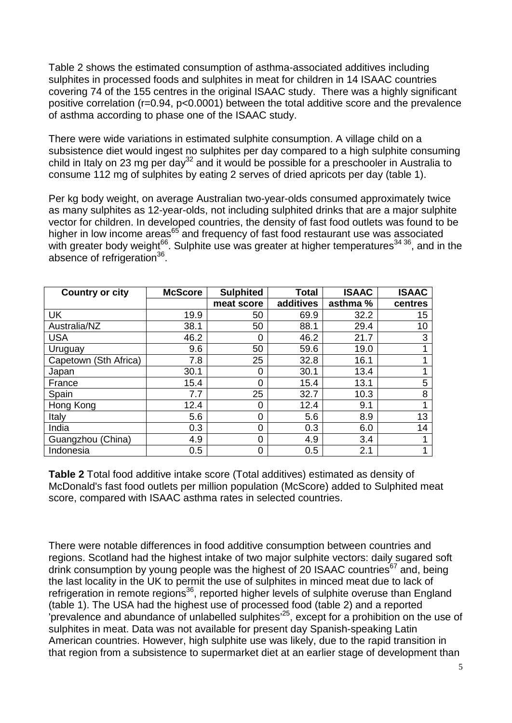Table 2 shows the estimated consumption of asthma-associated additives including sulphites in processed foods and sulphites in meat for children in 14 ISAAC countries covering 74 of the 155 centres in the original ISAAC study. There was a highly significant positive correlation (r=0.94, p<0.0001) between the total additive score and the prevalence of asthma according to phase one of the ISAAC study.

There were wide variations in estimated sulphite consumption. A village child on a subsistence diet would ingest no sulphites per day compared to a high sulphite consuming child in Italy on 23 mg per day<sup>32</sup> and it would be possible for a preschooler in Australia to consume 112 mg of sulphites by eating 2 serves of dried apricots per day (table 1).

Per kg body weight, on average Australian two-year-olds consumed approximately twice as many sulphites as 12-year-olds, not including sulphited drinks that are a major sulphite vector for children. In developed countries, the density of fast food outlets was found to be higher in low income areas<sup>65</sup> and frequency of fast food restaurant use was associated with greater body weight<sup>66</sup>. Sulphite use was greater at higher temperatures<sup>34 36</sup>, and in the absence of refrigeration<sup>36</sup>.

| <b>Country or city</b> | <b>McScore</b> | <b>Sulphited</b> | Total     | <b>ISAAC</b> | <b>ISAAC</b> |
|------------------------|----------------|------------------|-----------|--------------|--------------|
|                        |                | meat score       | additives | asthma %     | centres      |
| <b>UK</b>              | 19.9           | 50               | 69.9      | 32.2         | 15           |
| Australia/NZ           | 38.1           | 50               | 88.1      | 29.4         | 10           |
| <b>USA</b>             | 46.2           | 0                | 46.2      | 21.7         | 3            |
| Uruguay                | 9.6            | 50               | 59.6      | 19.0         |              |
| Capetown (Sth Africa)  | 7.8            | 25               | 32.8      | 16.1         |              |
| Japan                  | 30.1           | 0                | 30.1      | 13.4         |              |
| France                 | 15.4           | 0                | 15.4      | 13.1         | 5            |
| Spain                  | 7.7            | 25               | 32.7      | 10.3         | 8            |
| Hong Kong              | 12.4           | 0                | 12.4      | 9.1          |              |
| Italy                  | 5.6            | 0                | 5.6       | 8.9          | 13           |
| India                  | 0.3            | 0                | 0.3       | 6.0          | 14           |
| Guangzhou (China)      | 4.9            | 0                | 4.9       | 3.4          |              |
| Indonesia              | 0.5            | 0                | 0.5       | 2.1          |              |

**Table 2** Total food additive intake score (Total additives) estimated as density of McDonald's fast food outlets per million population (McScore) added to Sulphited meat score, compared with ISAAC asthma rates in selected countries.

There were notable differences in food additive consumption between countries and regions. Scotland had the highest intake of two major sulphite vectors: daily sugared soft drink consumption by young people was the highest of 20 ISAAC countries  $67$  and, being the last locality in the UK to permit the use of sulphites in minced meat due to lack of refrigeration in remote regions<sup>36</sup>, reported higher levels of sulphite overuse than England (table 1). The USA had the highest use of processed food (table 2) and a reported  $\overline{a}$ 'prevalence and abundance of unlabelled sulphites<sup>'25</sup>, except for a prohibition on the use of sulphites in meat. Data was not available for present day Spanish-speaking Latin American countries. However, high sulphite use was likely, due to the rapid transition in that region from a subsistence to supermarket diet at an earlier stage of development than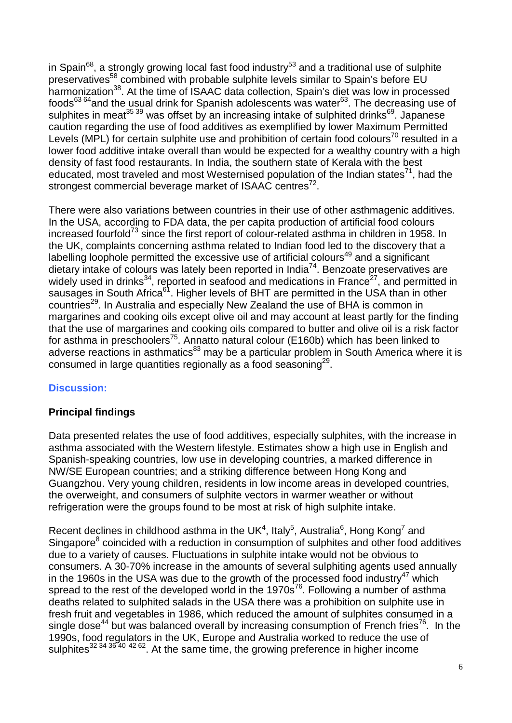in Spain<sup>68</sup>, a strongly growing local fast food industry<sup>53</sup> and a traditional use of sulphite preservatives58 combined with probable sulphite levels similar to Spain's before EU harmonization<sup>38</sup>. At the time of ISAAC data collection, Spain's diet was low in processed foods $63\,64}$  and the usual drink for Spanish adolescents was water $63$ . The decreasing use of sulphites in meat<sup>35 39</sup> was offset by an increasing intake of sulphited drinks<sup>69</sup>. Japanese caution regarding the use of food additives as exemplified by lower Maximum Permitted Levels (MPL) for certain sulphite use and prohibition of certain food colours<sup>70</sup> resulted in a lower food additive intake overall than would be expected for a wealthy country with a high density of fast food restaurants. In India, the southern state of Kerala with the best educated, most traveled and most Westernised population of the Indian states<sup>71</sup>, had the strongest commercial beverage market of ISAAC centres $72$ .

There were also variations between countries in their use of other asthmagenic additives. In the USA, according to FDA data, the per capita production of artificial food colours increased fourfold<sup>73</sup> since the first report of colour-related asthma in children in 1958. In the UK, complaints concerning asthma related to Indian food led to the discovery that a labelling loophole permitted the excessive use of artificial colours<sup>49</sup> and a significant dietary intake of colours was lately been reported in India<sup>74</sup>. Benzoate preservatives are widely used in drinks<sup>34</sup>, reported in seafood and medications in France<sup>27</sup>, and permitted in sausages in South Africa<sup>61</sup>. Higher levels of BHT are permitted in the USA than in other countries<sup>29</sup>. In Australia and especially New Zealand the use of BHA is common in margarines and cooking oils except olive oil and may account at least partly for the finding that the use of margarines and cooking oils compared to butter and olive oil is a risk factor for asthma in preschoolers<sup>75</sup>. Annatto natural colour (E160b) which has been linked to adverse reactions in asthmatics<sup>83</sup> may be a particular problem in South America where it is consumed in large quantities regionally as a food seasoning<sup>29</sup>.

# **Discussion:**

# **Principal findings**

Data presented relates the use of food additives, especially sulphites, with the increase in asthma associated with the Western lifestyle. Estimates show a high use in English and Spanish-speaking countries, low use in developing countries, a marked difference in NW/SE European countries; and a striking difference between Hong Kong and Guangzhou. Very young children, residents in low income areas in developed countries, the overweight, and consumers of sulphite vectors in warmer weather or without refrigeration were the groups found to be most at risk of high sulphite intake.

Recent declines in childhood asthma in the UK<sup>4</sup>, Italy<sup>5</sup>, Australia<sup>6</sup>, Hong Kong<sup>7</sup> and Singapore<sup>8</sup> coincided with a reduction in consumption of sulphites and other food additives due to a variety of causes. Fluctuations in sulphite intake would not be obvious to consumers. A 30-70% increase in the amounts of several sulphiting agents used annually in the 1960s in the USA was due to the growth of the processed food industry<sup>47</sup> which spread to the rest of the developed world in the  $1970s^{76}$ . Following a number of asthma deaths related to sulphited salads in the USA there was a prohibition on sulphite use in fresh fruit and vegetables in 1986, which reduced the amount of sulphites consumed in a single dose<sup>44</sup> but was balanced overall by increasing consumption of French fries<sup>76</sup>. In the 1990s, food regulators in the UK, Europe and Australia worked to reduce the use of sulphites<sup>32</sup> 34 36 40 42 62. At the same time, the growing preference in higher income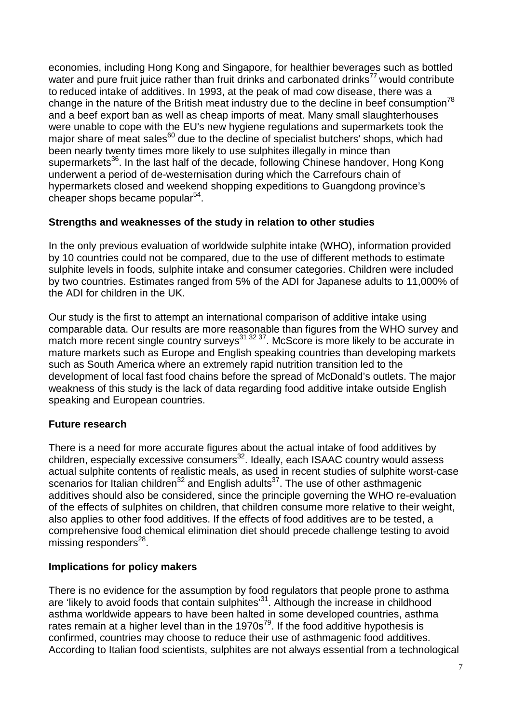economies, including Hong Kong and Singapore, for healthier beverages such as bottled water and pure fruit juice rather than fruit drinks and carbonated drinks<sup>77</sup> would contribute to reduced intake of additives. In 1993, at the peak of mad cow disease, there was a change in the nature of the British meat industry due to the decline in beef consumption<sup>78</sup> and a beef export ban as well as cheap imports of meat. Many small slaughterhouses were unable to cope with the EU's new hygiene regulations and supermarkets took the major share of meat sales<sup>60</sup> due to the decline of specialist butchers' shops, which had been nearly twenty times more likely to use sulphites illegally in mince than supermarkets<sup>36</sup>. In the last half of the decade, following Chinese handover, Hong Kong underwent a period of de-westernisation during which the Carrefours chain of hypermarkets closed and weekend shopping expeditions to Guangdong province's cheaper shops became popular $54$ .

# **Strengths and weaknesses of the study in relation to other studies**

In the only previous evaluation of worldwide sulphite intake (WHO), information provided by 10 countries could not be compared, due to the use of different methods to estimate sulphite levels in foods, sulphite intake and consumer categories. Children were included by two countries. Estimates ranged from 5% of the ADI for Japanese adults to 11,000% of the ADI for children in the UK.

Our study is the first to attempt an international comparison of additive intake using comparable data. Our results are more reasonable than figures from the WHO survey and match more recent single country surveys<sup>31 32 37</sup>. McScore is more likely to be accurate in mature markets such as Europe and English speaking countries than developing markets such as South America where an extremely rapid nutrition transition led to the development of local fast food chains before the spread of McDonald's outlets. The major weakness of this study is the lack of data regarding food additive intake outside English speaking and European countries.

# **Future research**

There is a need for more accurate figures about the actual intake of food additives by children, especially excessive consumers $^{32}$ . Ideally, each ISAAC country would assess actual sulphite contents of realistic meals, as used in recent studies of sulphite worst-case scenarios for Italian children<sup>32</sup> and English adults<sup>37</sup>. The use of other asthmagenic additives should also be considered, since the principle governing the WHO re-evaluation of the effects of sulphites on children, that children consume more relative to their weight, also applies to other food additives. If the effects of food additives are to be tested, a comprehensive food chemical elimination diet should precede challenge testing to avoid  $mising$  responders<sup>28</sup>.

# **Implications for policy makers**

There is no evidence for the assumption by food regulators that people prone to asthma are 'likely to avoid foods that contain sulphites'<sup>31</sup>. Although the increase in childhood asthma worldwide appears to have been halted in some developed countries, asthma rates remain at a higher level than in the  $1970s^{79}$ . If the food additive hypothesis is confirmed, countries may choose to reduce their use of asthmagenic food additives. According to Italian food scientists, sulphites are not always essential from a technological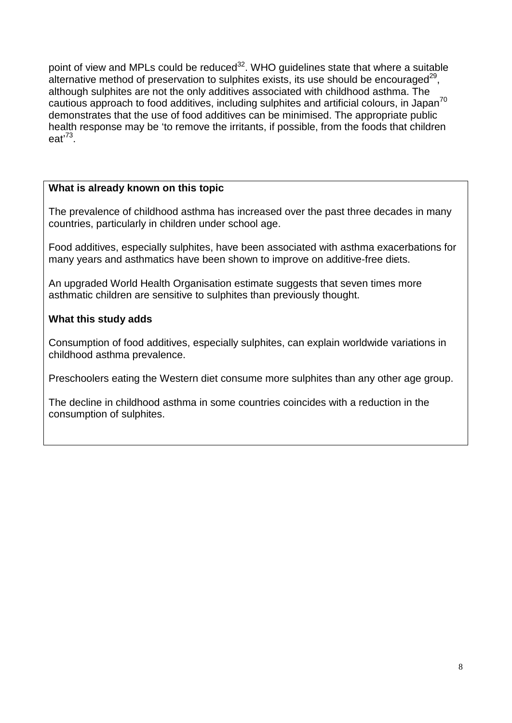point of view and MPLs could be reduced<sup>32</sup>. WHO guidelines state that where a suitable alternative method of preservation to sulphites exists, its use should be encouraged<sup>29</sup>, although sulphites are not the only additives associated with childhood asthma. The cautious approach to food additives, including sulphites and artificial colours, in Japan<sup>70</sup> demonstrates that the use of food additives can be minimised. The appropriate public health response may be 'to remove the irritants, if possible, from the foods that children eat' 73.

# **What is already known on this topic**

The prevalence of childhood asthma has increased over the past three decades in many countries, particularly in children under school age.

Food additives, especially sulphites, have been associated with asthma exacerbations for many years and asthmatics have been shown to improve on additive-free diets.

An upgraded World Health Organisation estimate suggests that seven times more asthmatic children are sensitive to sulphites than previously thought.

# **What this study adds**

Consumption of food additives, especially sulphites, can explain worldwide variations in childhood asthma prevalence.

Preschoolers eating the Western diet consume more sulphites than any other age group.

The decline in childhood asthma in some countries coincides with a reduction in the consumption of sulphites.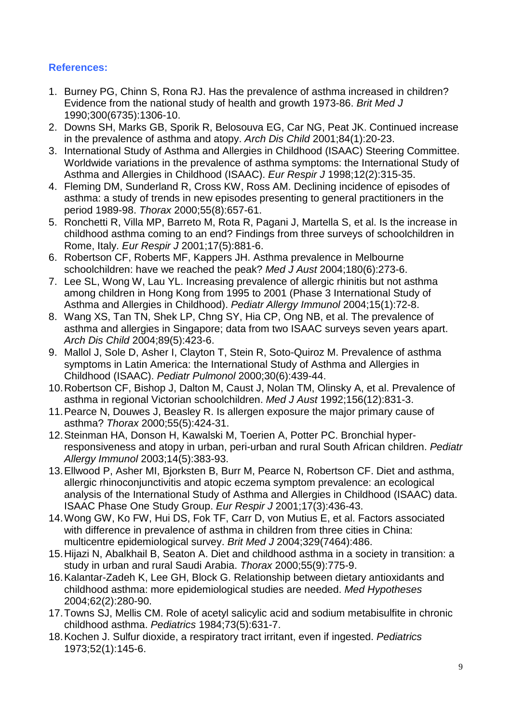# **References:**

- 1. Burney PG, Chinn S, Rona RJ. Has the prevalence of asthma increased in children? Evidence from the national study of health and growth 1973-86. *Brit Med J* 1990;300(6735):1306-10.
- 2. Downs SH, Marks GB, Sporik R, Belosouva EG, Car NG, Peat JK. Continued increase in the prevalence of asthma and atopy. *Arch Dis Child* 2001;84(1):20-23.
- 3. International Study of Asthma and Allergies in Childhood (ISAAC) Steering Committee. Worldwide variations in the prevalence of asthma symptoms: the International Study of Asthma and Allergies in Childhood (ISAAC). *Eur Respir J* 1998;12(2):315-35.
- 4. Fleming DM, Sunderland R, Cross KW, Ross AM. Declining incidence of episodes of asthma: a study of trends in new episodes presenting to general practitioners in the period 1989-98. *Thorax* 2000;55(8):657-61.
- 5. Ronchetti R, Villa MP, Barreto M, Rota R, Pagani J, Martella S, et al. Is the increase in childhood asthma coming to an end? Findings from three surveys of schoolchildren in Rome, Italy. *Eur Respir J* 2001;17(5):881-6.
- 6. Robertson CF, Roberts MF, Kappers JH. Asthma prevalence in Melbourne schoolchildren: have we reached the peak? *Med J Aust* 2004;180(6):273-6.
- 7. Lee SL, Wong W, Lau YL. Increasing prevalence of allergic rhinitis but not asthma among children in Hong Kong from 1995 to 2001 (Phase 3 International Study of Asthma and Allergies in Childhood). *Pediatr Allergy Immunol* 2004;15(1):72-8.
- 8. Wang XS, Tan TN, Shek LP, Chng SY, Hia CP, Ong NB, et al. The prevalence of asthma and allergies in Singapore; data from two ISAAC surveys seven years apart. *Arch Dis Child* 2004;89(5):423-6.
- 9. Mallol J, Sole D, Asher I, Clayton T, Stein R, Soto-Quiroz M. Prevalence of asthma symptoms in Latin America: the International Study of Asthma and Allergies in Childhood (ISAAC). *Pediatr Pulmonol* 2000;30(6):439-44.
- 10.Robertson CF, Bishop J, Dalton M, Caust J, Nolan TM, Olinsky A, et al. Prevalence of asthma in regional Victorian schoolchildren. *Med J Aust* 1992;156(12):831-3.
- 11.Pearce N, Douwes J, Beasley R. Is allergen exposure the major primary cause of asthma? *Thorax* 2000;55(5):424-31.
- 12.Steinman HA, Donson H, Kawalski M, Toerien A, Potter PC. Bronchial hyperresponsiveness and atopy in urban, peri-urban and rural South African children. *Pediatr Allergy Immunol* 2003;14(5):383-93.
- 13.Ellwood P, Asher MI, Bjorksten B, Burr M, Pearce N, Robertson CF. Diet and asthma, allergic rhinoconjunctivitis and atopic eczema symptom prevalence: an ecological analysis of the International Study of Asthma and Allergies in Childhood (ISAAC) data. ISAAC Phase One Study Group. *Eur Respir J* 2001;17(3):436-43.
- 14.Wong GW, Ko FW, Hui DS, Fok TF, Carr D, von Mutius E, et al. Factors associated with difference in prevalence of asthma in children from three cities in China: multicentre epidemiological survey. *Brit Med J* 2004;329(7464):486.
- 15.Hijazi N, Abalkhail B, Seaton A. Diet and childhood asthma in a society in transition: a study in urban and rural Saudi Arabia. *Thorax* 2000;55(9):775-9.
- 16.Kalantar-Zadeh K, Lee GH, Block G. Relationship between dietary antioxidants and childhood asthma: more epidemiological studies are needed. *Med Hypotheses* 2004;62(2):280-90.
- 17.Towns SJ, Mellis CM. Role of acetyl salicylic acid and sodium metabisulfite in chronic childhood asthma. *Pediatrics* 1984;73(5):631-7.
- 18.Kochen J. Sulfur dioxide, a respiratory tract irritant, even if ingested. *Pediatrics* 1973;52(1):145-6.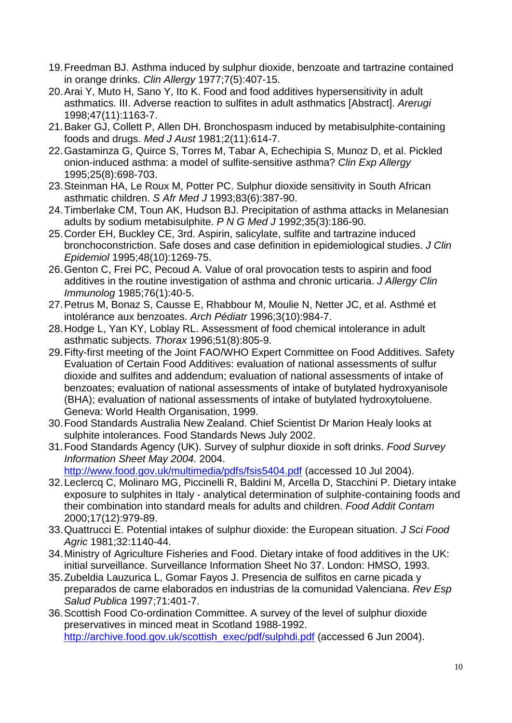- 19.Freedman BJ. Asthma induced by sulphur dioxide, benzoate and tartrazine contained in orange drinks. *Clin Allergy* 1977;7(5):407-15.
- 20.Arai Y, Muto H, Sano Y, Ito K. Food and food additives hypersensitivity in adult asthmatics. III. Adverse reaction to sulfites in adult asthmatics [Abstract]. *Arerugi* 1998;47(11):1163-7.
- 21.Baker GJ, Collett P, Allen DH. Bronchospasm induced by metabisulphite-containing foods and drugs. *Med J Aust* 1981;2(11):614-7.
- 22.Gastaminza G, Quirce S, Torres M, Tabar A, Echechipia S, Munoz D, et al. Pickled onion-induced asthma: a model of sulfite-sensitive asthma? *Clin Exp Allergy* 1995;25(8):698-703.
- 23.Steinman HA, Le Roux M, Potter PC. Sulphur dioxide sensitivity in South African asthmatic children. *S Afr Med J* 1993;83(6):387-90.
- 24.Timberlake CM, Toun AK, Hudson BJ. Precipitation of asthma attacks in Melanesian adults by sodium metabisulphite. *P N G Med J* 1992;35(3):186-90.
- 25.Corder EH, Buckley CE, 3rd. Aspirin, salicylate, sulfite and tartrazine induced bronchoconstriction. Safe doses and case definition in epidemiological studies. *J Clin Epidemiol* 1995;48(10):1269-75.
- 26.Genton C, Frei PC, Pecoud A. Value of oral provocation tests to aspirin and food additives in the routine investigation of asthma and chronic urticaria. *J Allergy Clin Immunolog* 1985;76(1):40-5.
- 27.Petrus M, Bonaz S, Causse E, Rhabbour M, Moulie N, Netter JC, et al. Asthmé et intolérance aux benzoates. *Arch Pédiatr* 1996;3(10):984-7.
- 28.Hodge L, Yan KY, Loblay RL. Assessment of food chemical intolerance in adult asthmatic subjects. *Thorax* 1996;51(8):805-9.
- 29.Fifty-first meeting of the Joint FAO/WHO Expert Committee on Food Additives. Safety Evaluation of Certain Food Additives: evaluation of national assessments of sulfur dioxide and sulfites and addendum; evaluation of national assessments of intake of benzoates; evaluation of national assessments of intake of butylated hydroxyanisole (BHA); evaluation of national assessments of intake of butylated hydroxytoluene. Geneva: World Health Organisation, 1999.
- 30.Food Standards Australia New Zealand. Chief Scientist Dr Marion Healy looks at sulphite intolerances. Food Standards News July 2002.
- 31.Food Standards Agency (UK). Survey of sulphur dioxide in soft drinks. *Food Survey Information Sheet May 2004.* 2004.

<http://www.food.gov.uk/multimedia/pdfs/fsis5404.pdf> (accessed 10 Jul 2004).

- 32.Leclercq C, Molinaro MG, Piccinelli R, Baldini M, Arcella D, Stacchini P. Dietary intake exposure to sulphites in Italy - analytical determination of sulphite-containing foods and their combination into standard meals for adults and children. *Food Addit Contam* 2000;17(12):979-89.
- 33.Quattrucci E. Potential intakes of sulphur dioxide: the European situation. *J Sci Food Agric* 1981;32:1140-44.
- 34.Ministry of Agriculture Fisheries and Food. Dietary intake of food additives in the UK: initial surveillance. Surveillance Information Sheet No 37. London: HMSO, 1993.
- 35.Zubeldia Lauzurica L, Gomar Fayos J. Presencia de sulfitos en carne picada y preparados de carne elaborados en industrias de la comunidad Valenciana. *Rev Esp Salud Publica* 1997;71:401-7.
- 36.Scottish Food Co-ordination Committee. A survey of the level of sulphur dioxide preservatives in minced meat in Scotland 1988-1992. [http://archive.food.gov.uk/scottish\\_exec/pdf/sulphdi.pdf](http://archive.food.gov.uk/scottish_exec/pdf/sulphdi.pdf) (accessed 6 Jun 2004).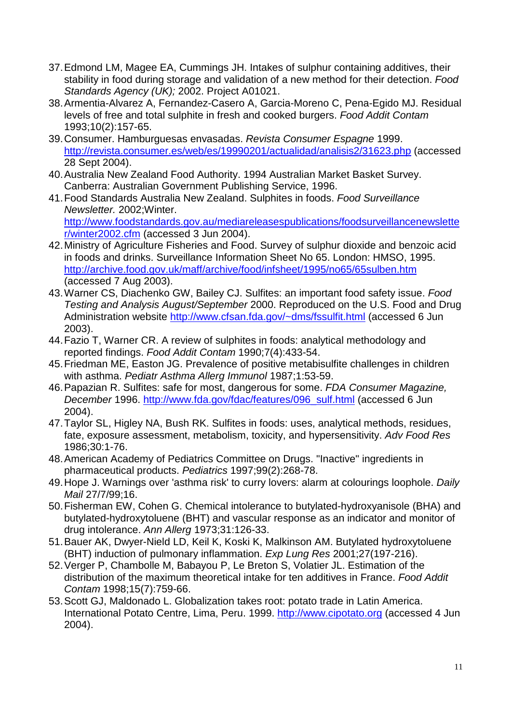- 37.Edmond LM, Magee EA, Cummings JH. Intakes of sulphur containing additives, their stability in food during storage and validation of a new method for their detection. *Food Standards Agency (UK);* 2002. Project A01021.
- 38.Armentia-Alvarez A, Fernandez-Casero A, Garcia-Moreno C, Pena-Egido MJ. Residual levels of free and total sulphite in fresh and cooked burgers. *Food Addit Contam* 1993;10(2):157-65.
- 39.Consumer. Hamburguesas envasadas. *Revista Consumer Espagne* 1999. <http://revista.consumer.es/web/es/19990201/actualidad/analisis2/31623.php> (accessed 28 Sept 2004).
- 40.Australia New Zealand Food Authority. 1994 Australian Market Basket Survey. Canberra: Australian Government Publishing Service, 1996.
- 41.Food Standards Australia New Zealand. Sulphites in foods. *Food Surveillance Newsletter.* 2002;Winter. [http://www.foodstandards.gov.au/mediareleasespublications/foodsurveillancenewslette](http://www.foodstandards.gov.au/mediareleasespublications/foodsurveillancenewsletter/winter2002.cfm) [r/winter2002.cfm](http://www.foodstandards.gov.au/mediareleasespublications/foodsurveillancenewsletter/winter2002.cfm) (accessed 3 Jun 2004).
- 42.Ministry of Agriculture Fisheries and Food. Survey of sulphur dioxide and benzoic acid in foods and drinks. Surveillance Information Sheet No 65. London: HMSO, 1995. <http://archive.food.gov.uk/maff/archive/food/infsheet/1995/no65/65sulben.htm> (accessed 7 Aug 2003).
- 43.Warner CS, Diachenko GW, Bailey CJ. Sulfites: an important food safety issue. *Food Testing and Analysis August/September* 2000. Reproduced on the U.S. Food and Drug Administration website<http://www.cfsan.fda.gov/~dms/fssulfit.html> (accessed 6 Jun 2003).
- 44.Fazio T, Warner CR. A review of sulphites in foods: analytical methodology and reported findings. *Food Addit Contam* 1990;7(4):433-54.
- 45.Friedman ME, Easton JG. Prevalence of positive metabisulfite challenges in children with asthma. *Pediatr Asthma Allerg Immunol* 1987;1:53-59.
- 46.Papazian R. Sulfites: safe for most, dangerous for some. *FDA Consumer Magazine, December* 1996. [http://www.fda.gov/fdac/features/096\\_sulf.html](http://www.fda.gov/fdac/features/096_sulf.html) (accessed 6 Jun 2004).
- 47.Taylor SL, Higley NA, Bush RK. Sulfites in foods: uses, analytical methods, residues, fate, exposure assessment, metabolism, toxicity, and hypersensitivity. *Adv Food Res* 1986;30:1-76.
- 48.American Academy of Pediatrics Committee on Drugs. "Inactive" ingredients in pharmaceutical products. *Pediatrics* 1997;99(2):268-78.
- 49.Hope J. Warnings over 'asthma risk' to curry lovers: alarm at colourings loophole. *Daily Mail* 27/7/99;16.
- 50.Fisherman EW, Cohen G. Chemical intolerance to butylated-hydroxyanisole (BHA) and butylated-hydroxytoluene (BHT) and vascular response as an indicator and monitor of drug intolerance. *Ann Allerg* 1973;31:126-33.
- 51.Bauer AK, Dwyer-Nield LD, Keil K, Koski K, Malkinson AM. Butylated hydroxytoluene (BHT) induction of pulmonary inflammation. *Exp Lung Res* 2001;27(197-216).
- 52.Verger P, Chambolle M, Babayou P, Le Breton S, Volatier JL. Estimation of the distribution of the maximum theoretical intake for ten additives in France. *Food Addit Contam* 1998;15(7):759-66.
- 53.Scott GJ, Maldonado L. Globalization takes root: potato trade in Latin America. International Potato Centre, Lima, Peru. 1999. [http://www.cipotato.org](http://www.cipotato.org/) (accessed 4 Jun 2004).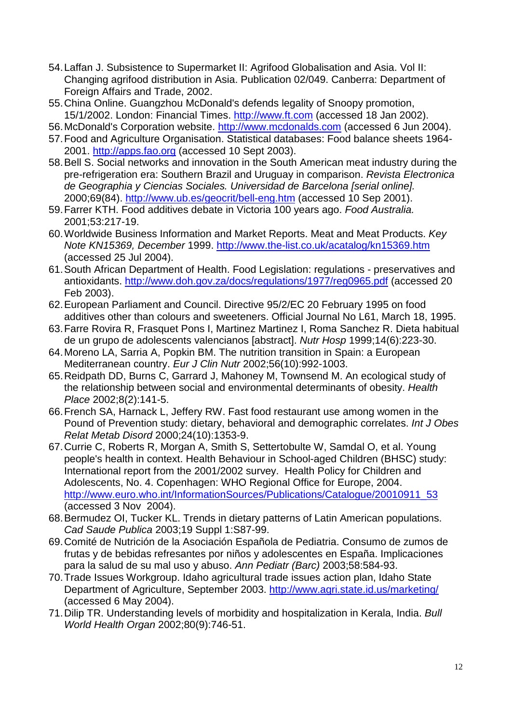- 54.Laffan J. Subsistence to Supermarket II: Agrifood Globalisation and Asia. Vol II: Changing agrifood distribution in Asia. Publication 02/049. Canberra: Department of Foreign Affairs and Trade, 2002.
- 55.China Online. Guangzhou McDonald's defends legality of Snoopy promotion, 15/1/2002. London: Financial Times. [http://www.ft.com](http://www.ft.com/) (accessed 18 Jan 2002).
- 56.McDonald's Corporation website. [http://www.mcdonalds.com](http://www.mcdonalds.com/) (accessed 6 Jun 2004).
- 57.Food and Agriculture Organisation. Statistical databases: Food balance sheets 1964- 2001. [http://apps.fao.org](http://apps.fao.org/) (accessed 10 Sept 2003).
- 58.Bell S. Social networks and innovation in the South American meat industry during the pre-refrigeration era: Southern Brazil and Uruguay in comparison. *Revista Electronica de Geographia y Ciencias Sociales. Universidad de Barcelona [serial online].* 2000;69(84).<http://www.ub.es/geocrit/bell-eng.htm> (accessed 10 Sep 2001).
- 59.Farrer KTH. Food additives debate in Victoria 100 years ago. *Food Australia.* 2001;53:217-19.
- 60.Worldwide Business Information and Market Reports. Meat and Meat Products. *Key Note KN15369, December* 1999.<http://www.the-list.co.uk/acatalog/kn15369.htm> (accessed 25 Jul 2004).
- 61.South African Department of Health. Food Legislation: regulations preservatives and antioxidants.<http://www.doh.gov.za/docs/regulations/1977/reg0965.pdf> (accessed 20 Feb 2003).
- 62.European Parliament and Council. Directive 95/2/EC 20 February 1995 on food additives other than colours and sweeteners. Official Journal No L61, March 18, 1995.
- 63.Farre Rovira R, Frasquet Pons I, Martinez Martinez I, Roma Sanchez R. Dieta habitual de un grupo de adolescents valencianos [abstract]. *Nutr Hosp* 1999;14(6):223-30.
- 64.Moreno LA, Sarria A, Popkin BM. The nutrition transition in Spain: a European Mediterranean country. *Eur J Clin Nutr* 2002;56(10):992-1003.
- 65.Reidpath DD, Burns C, Garrard J, Mahoney M, Townsend M. An ecological study of the relationship between social and environmental determinants of obesity. *Health Place* 2002;8(2):141-5.
- 66.French SA, Harnack L, Jeffery RW. Fast food restaurant use among women in the Pound of Prevention study: dietary, behavioral and demographic correlates. *Int J Obes Relat Metab Disord* 2000;24(10):1353-9.
- 67.Currie C, Roberts R, Morgan A, Smith S, Settertobulte W, Samdal O, et al. Young people's health in context. Health Behaviour in School-aged Children (BHSC) study: International report from the 2001/2002 survey. Health Policy for Children and Adolescents, No. 4. Copenhagen: WHO Regional Office for Europe, 2004. [http://www.euro.who.int/InformationSources/Publications/Catalogue/20010911\\_53](http://www.euro.who.int/InformationSources/Publications/Catalogue/20010911_53) (accessed 3 Nov 2004).
- 68.Bermudez OI, Tucker KL. Trends in dietary patterns of Latin American populations. *Cad Saude Publica* 2003;19 Suppl 1:S87-99.
- 69.Comité de Nutrición de la Asociación Española de Pediatria. Consumo de zumos de frutas y de bebidas refresantes por niños y adolescentes en España. Implicaciones para la salud de su mal uso y abuso. *Ann Pediatr (Barc)* 2003;58:584-93.
- 70.Trade Issues Workgroup. Idaho agricultural trade issues action plan, Idaho State Department of Agriculture, September 2003. <http://www.agri.state.id.us/marketing/> (accessed 6 May 2004).
- 71.Dilip TR. Understanding levels of morbidity and hospitalization in Kerala, India. *Bull World Health Organ* 2002;80(9):746-51.